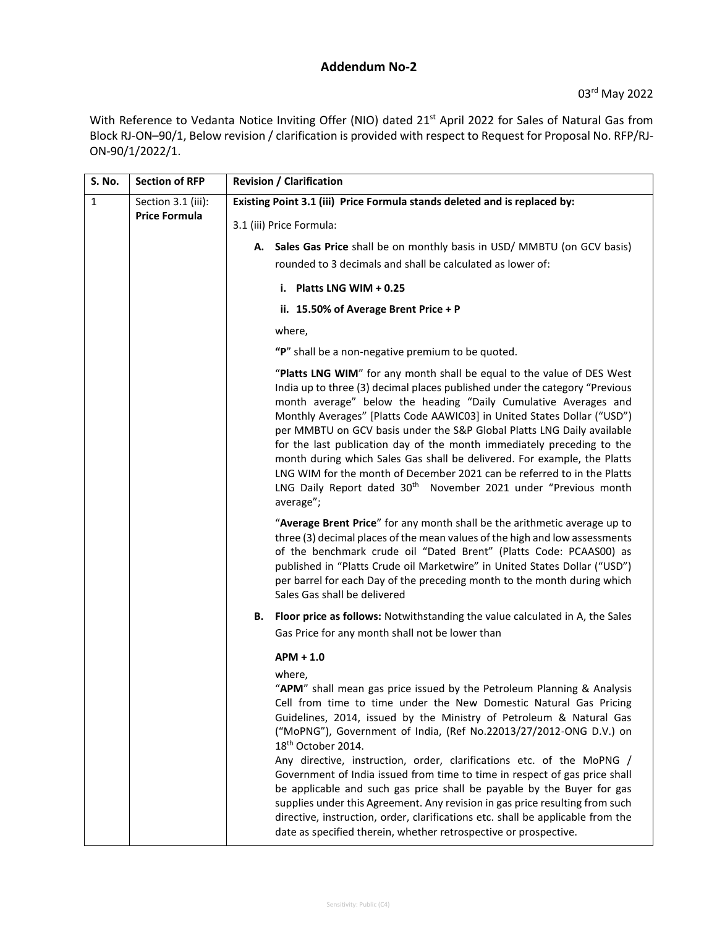## **Addendum No-2**

With Reference to Vedanta Notice Inviting Offer (NIO) dated 21<sup>st</sup> April 2022 for Sales of Natural Gas from Block RJ-ON–90/1, Below revision / clarification is provided with respect to Request for Proposal No. RFP/RJ-ON-90/1/2022/1.

| S. No.       | <b>Section of RFP</b>                      | <b>Revision / Clarification</b>                                                                                                                                                                                                                                                                                                                                                                                                                                                                                                                                                                                                                                                                                                                                                                              |
|--------------|--------------------------------------------|--------------------------------------------------------------------------------------------------------------------------------------------------------------------------------------------------------------------------------------------------------------------------------------------------------------------------------------------------------------------------------------------------------------------------------------------------------------------------------------------------------------------------------------------------------------------------------------------------------------------------------------------------------------------------------------------------------------------------------------------------------------------------------------------------------------|
| $\mathbf{1}$ | Section 3.1 (iii):<br><b>Price Formula</b> | Existing Point 3.1 (iii) Price Formula stands deleted and is replaced by:                                                                                                                                                                                                                                                                                                                                                                                                                                                                                                                                                                                                                                                                                                                                    |
|              |                                            | 3.1 (iii) Price Formula:                                                                                                                                                                                                                                                                                                                                                                                                                                                                                                                                                                                                                                                                                                                                                                                     |
|              |                                            | A. Sales Gas Price shall be on monthly basis in USD/ MMBTU (on GCV basis)                                                                                                                                                                                                                                                                                                                                                                                                                                                                                                                                                                                                                                                                                                                                    |
|              |                                            | rounded to 3 decimals and shall be calculated as lower of:                                                                                                                                                                                                                                                                                                                                                                                                                                                                                                                                                                                                                                                                                                                                                   |
|              |                                            | i. Platts LNG WIM $+0.25$                                                                                                                                                                                                                                                                                                                                                                                                                                                                                                                                                                                                                                                                                                                                                                                    |
|              |                                            | ii. 15.50% of Average Brent Price + P                                                                                                                                                                                                                                                                                                                                                                                                                                                                                                                                                                                                                                                                                                                                                                        |
|              |                                            | where,                                                                                                                                                                                                                                                                                                                                                                                                                                                                                                                                                                                                                                                                                                                                                                                                       |
|              |                                            | "P" shall be a non-negative premium to be quoted.                                                                                                                                                                                                                                                                                                                                                                                                                                                                                                                                                                                                                                                                                                                                                            |
|              |                                            | "Platts LNG WIM" for any month shall be equal to the value of DES West<br>India up to three (3) decimal places published under the category "Previous<br>month average" below the heading "Daily Cumulative Averages and<br>Monthly Averages" [Platts Code AAWIC03] in United States Dollar ("USD")<br>per MMBTU on GCV basis under the S&P Global Platts LNG Daily available<br>for the last publication day of the month immediately preceding to the<br>month during which Sales Gas shall be delivered. For example, the Platts<br>LNG WIM for the month of December 2021 can be referred to in the Platts<br>LNG Daily Report dated 30 <sup>th</sup> November 2021 under "Previous month<br>average";                                                                                                   |
|              |                                            | "Average Brent Price" for any month shall be the arithmetic average up to<br>three (3) decimal places of the mean values of the high and low assessments<br>of the benchmark crude oil "Dated Brent" (Platts Code: PCAAS00) as<br>published in "Platts Crude oil Marketwire" in United States Dollar ("USD")<br>per barrel for each Day of the preceding month to the month during which<br>Sales Gas shall be delivered                                                                                                                                                                                                                                                                                                                                                                                     |
|              |                                            | <b>Floor price as follows:</b> Notwithstanding the value calculated in A, the Sales<br>В.<br>Gas Price for any month shall not be lower than                                                                                                                                                                                                                                                                                                                                                                                                                                                                                                                                                                                                                                                                 |
|              |                                            | $APM + 1.0$                                                                                                                                                                                                                                                                                                                                                                                                                                                                                                                                                                                                                                                                                                                                                                                                  |
|              |                                            | where,<br>"APM" shall mean gas price issued by the Petroleum Planning & Analysis<br>Cell from time to time under the New Domestic Natural Gas Pricing<br>Guidelines, 2014, issued by the Ministry of Petroleum & Natural Gas<br>("MoPNG"), Government of India, (Ref No.22013/27/2012-ONG D.V.) on<br>18 <sup>th</sup> October 2014.<br>Any directive, instruction, order, clarifications etc. of the MoPNG /<br>Government of India issued from time to time in respect of gas price shall<br>be applicable and such gas price shall be payable by the Buyer for gas<br>supplies under this Agreement. Any revision in gas price resulting from such<br>directive, instruction, order, clarifications etc. shall be applicable from the<br>date as specified therein, whether retrospective or prospective. |